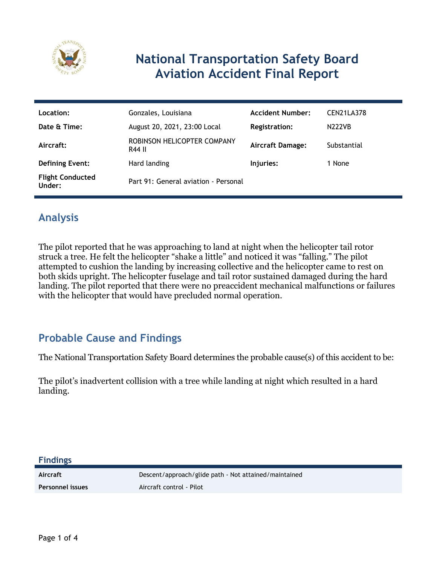

# **National Transportation Safety Board Aviation Accident Final Report**

| Location:                         | Gonzales, Louisiana                   | <b>Accident Number:</b> | CEN21LA378    |
|-----------------------------------|---------------------------------------|-------------------------|---------------|
| Date & Time:                      | August 20, 2021, 23:00 Local          | <b>Registration:</b>    | <b>N222VB</b> |
| Aircraft:                         | ROBINSON HELICOPTER COMPANY<br>R44 II | <b>Aircraft Damage:</b> | Substantial   |
| <b>Defining Event:</b>            | Hard landing                          | Injuries:               | 1 None        |
| <b>Flight Conducted</b><br>Under: | Part 91: General aviation - Personal  |                         |               |

## **Analysis**

The pilot reported that he was approaching to land at night when the helicopter tail rotor struck a tree. He felt the helicopter "shake a little" and noticed it was "falling." The pilot attempted to cushion the landing by increasing collective and the helicopter came to rest on both skids upright. The helicopter fuselage and tail rotor sustained damaged during the hard landing. The pilot reported that there were no preaccident mechanical malfunctions or failures with the helicopter that would have precluded normal operation.

## **Probable Cause and Findings**

The National Transportation Safety Board determines the probable cause(s) of this accident to be:

The pilot's inadvertent collision with a tree while landing at night which resulted in a hard landing.

Aircraft **Descent/approach/glide path - Not attained/maintained Personnel issues** Aircraft control - Pilot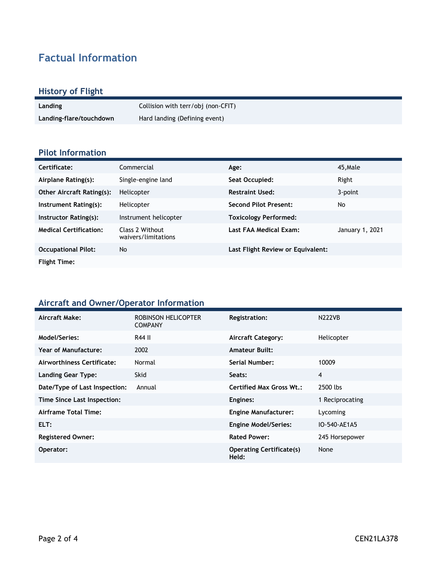# **Factual Information**

# **History of Flight**

| Landing                 | Collision with terr/obj (non-CFIT) |
|-------------------------|------------------------------------|
| Landing-flare/touchdown | Hard landing (Defining event)      |

#### **Pilot Information**

| Certificate:                     | Commercial                             | Age:                              | 45, Male        |
|----------------------------------|----------------------------------------|-----------------------------------|-----------------|
| Airplane Rating(s):              | Single-engine land                     | Seat Occupied:                    | Right           |
| <b>Other Aircraft Rating(s):</b> | Helicopter                             | <b>Restraint Used:</b>            | 3-point         |
| Instrument Rating(s):            | Helicopter                             | <b>Second Pilot Present:</b>      | No              |
| Instructor Rating(s):            | Instrument helicopter                  | <b>Toxicology Performed:</b>      |                 |
| <b>Medical Certification:</b>    | Class 2 Without<br>waivers/limitations | Last FAA Medical Exam:            | January 1, 2021 |
| <b>Occupational Pilot:</b>       | No                                     | Last Flight Review or Equivalent: |                 |
| <b>Flight Time:</b>              |                                        |                                   |                 |

#### **Aircraft and Owner/Operator Information**

| Aircraft Make:                | ROBINSON HELICOPTER<br><b>COMPANY</b> | <b>Registration:</b>                     | <b>N222VB</b>   |
|-------------------------------|---------------------------------------|------------------------------------------|-----------------|
| Model/Series:                 | R44 II                                | <b>Aircraft Category:</b>                | Helicopter      |
| <b>Year of Manufacture:</b>   | 2002                                  | <b>Amateur Built:</b>                    |                 |
| Airworthiness Certificate:    | Normal                                | Serial Number:                           | 10009           |
| <b>Landing Gear Type:</b>     | Skid                                  | Seats:                                   | 4               |
| Date/Type of Last Inspection: | Annual                                | <b>Certified Max Gross Wt.:</b>          | 2500 lbs        |
| Time Since Last Inspection:   |                                       | Engines:                                 | 1 Reciprocating |
| Airframe Total Time:          |                                       | <b>Engine Manufacturer:</b>              | Lycoming        |
| ELT:                          |                                       | <b>Engine Model/Series:</b>              | IO-540-AE1A5    |
| <b>Registered Owner:</b>      |                                       | <b>Rated Power:</b>                      | 245 Horsepower  |
| Operator:                     |                                       | <b>Operating Certificate(s)</b><br>Held: | None            |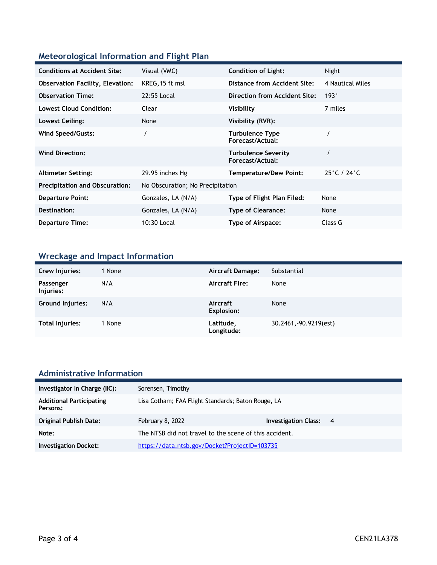### **Meteorological Information and Flight Plan**

| <b>Conditions at Accident Site:</b>     | Visual (VMC)                     | <b>Condition of Light:</b>                     | Night                            |
|-----------------------------------------|----------------------------------|------------------------------------------------|----------------------------------|
| <b>Observation Facility, Elevation:</b> | KREG, 15 ft msl                  | Distance from Accident Site:                   | 4 Nautical Miles                 |
| <b>Observation Time:</b>                | 22:55 Local                      | Direction from Accident Site:                  | 193°                             |
| <b>Lowest Cloud Condition:</b>          | Clear                            | Visibility                                     | 7 miles                          |
| Lowest Ceiling:                         | None                             | Visibility (RVR):                              |                                  |
| Wind Speed/Gusts:                       |                                  | <b>Turbulence Type</b><br>Forecast/Actual:     |                                  |
| <b>Wind Direction:</b>                  |                                  | <b>Turbulence Severity</b><br>Forecast/Actual: |                                  |
| <b>Altimeter Setting:</b>               | 29.95 inches Hg                  | <b>Temperature/Dew Point:</b>                  | $25^{\circ}$ C / 24 $^{\circ}$ C |
| <b>Precipitation and Obscuration:</b>   | No Obscuration; No Precipitation |                                                |                                  |
| <b>Departure Point:</b>                 | Gonzales, LA (N/A)               | Type of Flight Plan Filed:                     | None                             |
| Destination:                            | Gonzales, LA (N/A)               | <b>Type of Clearance:</b>                      | None                             |
| <b>Departure Time:</b>                  | 10:30 Local                      | Type of Airspace:                              | Class G                          |

# **Wreckage and Impact Information**

| Crew Injuries:          | 1 None | <b>Aircraft Damage:</b> | Substantial            |
|-------------------------|--------|-------------------------|------------------------|
| Passenger<br>Injuries:  | N/A    | <b>Aircraft Fire:</b>   | None                   |
| <b>Ground Injuries:</b> | N/A    | Aircraft<br>Explosion:  | None                   |
| <b>Total Injuries:</b>  | 1 None | Latitude,<br>Longitude: | 30.2461, -90.9219(est) |

#### **Administrative Information**

| Investigator In Charge (IIC):               | Sorensen, Timothy                                      |                               |  |
|---------------------------------------------|--------------------------------------------------------|-------------------------------|--|
| <b>Additional Participating</b><br>Persons: | Lisa Cotham; FAA Flight Standards; Baton Rouge, LA     |                               |  |
| <b>Original Publish Date:</b>               | February 8, 2022                                       | <b>Investigation Class: 4</b> |  |
| Note:                                       | The NTSB did not travel to the scene of this accident. |                               |  |
| <b>Investigation Docket:</b>                | https://data.ntsb.gov/Docket?ProjectID=103735          |                               |  |